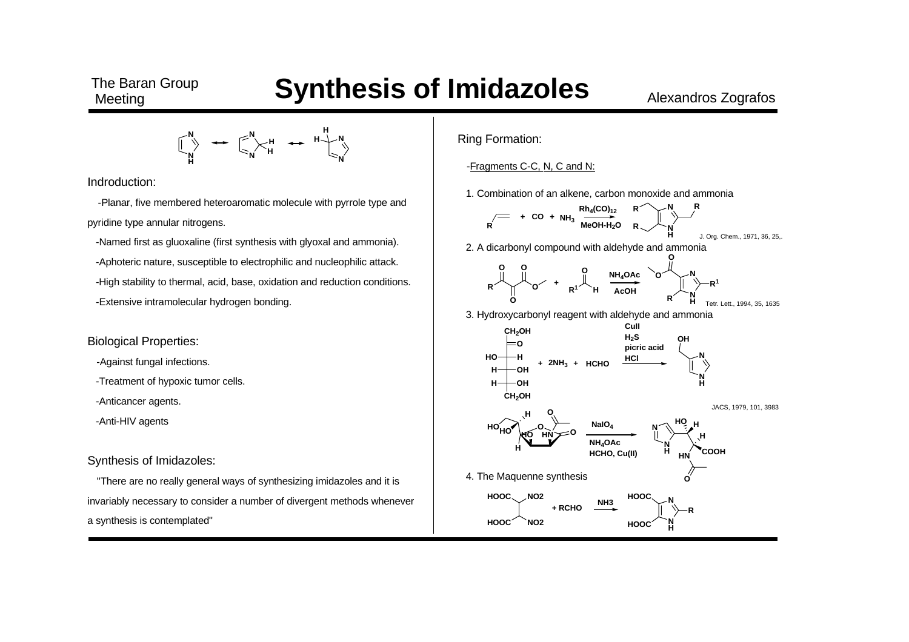**N HN N**  $\begin{bmatrix} 1 \\ \times \end{bmatrix}$ <br>  $\begin{bmatrix} H \\ H \end{bmatrix}$   $\begin{bmatrix} H \\ H \end{bmatrix}$ **N HH**

Indroduction:

 -Planar, five membered heteroaromatic molecule with pyrrole type and pyridine type annular nitrogens.

-Named first as gluoxaline (first synthesis with glyoxal and ammonia).

-Aphoteric nature, susceptible to electrophilic and nucleophilic attack.

- -High stability to thermal, acid, base, oxidation and reduction conditions.
- -Extensive intramolecular hydrogen bonding.

## Biological Properties:

- -Against fungal infections.
- -Treatment of hypoxic tumor cells.
- -Anticancer agents.
- -Anti-HIV agents

## Synthesis of Imidazoles:

"There are no really general ways of synthesizing imidazoles and it is invariably necessary to consider a number of divergent methods whenever a synthesis is contemplated"

Ring Formation:

-Fragments C-C, N, C and N:

1. Combination of an alkene, carbon monoxide and ammonia

**R<sup>+</sup> CO <sup>+</sup> NH3Rh<sub>4</sub>(CO)<sub>12</sub> MeOH-H2O <sup>N</sup>HR N RR**J. Org. Chem., 1971, 36, 25,.

2. A dicarbonyl compound with aldehyde and ammonia



3. Hydroxycarbonyl reagent with aldehyde and ammonia

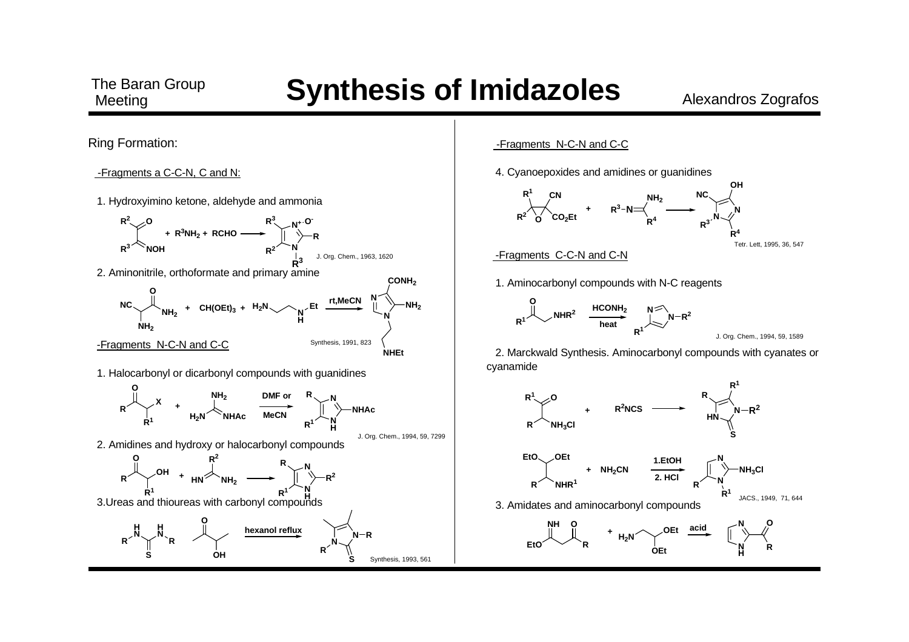

-Fragments N-C-N and C-C

4. Cyanoepoxides and amidines or guanidines



Tetr. Lett, 1995, 36, 547

#### -Fragments C-C-N and C-N



**O NHR<sup>2</sup> HCONH2 heatN**<sup>≤∕</sup>N−R<sup>2</sup> **R1**

```
J. Org. Chem., 1994, 59, 1589
```
2. Marckwald Synthesis. Aminocarbonyl compounds with cyanates or

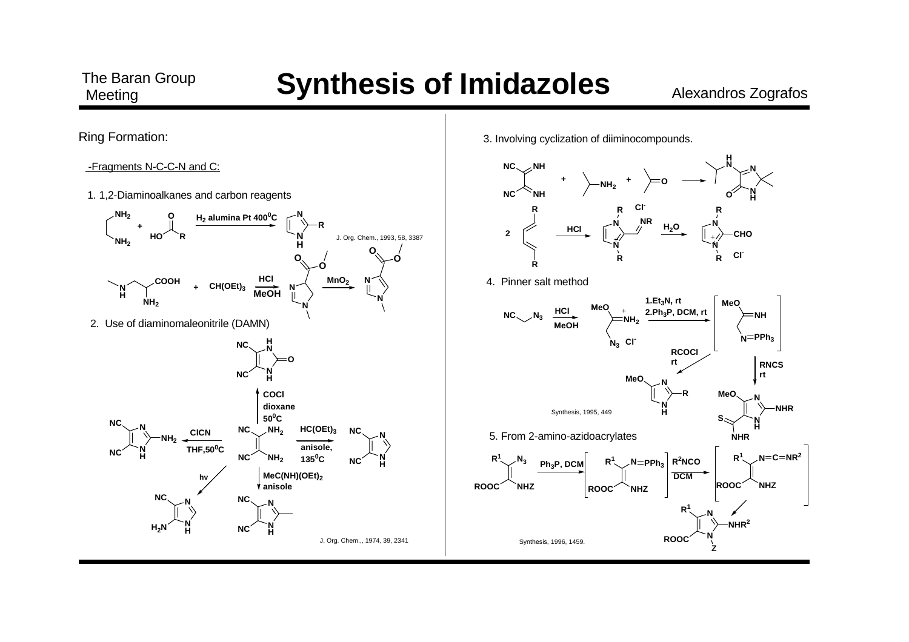

-Fragments N-C-C-N and C:

1. 1,2-Diaminoalkanes and carbon reagents



3. Involving cyclization of diiminocompounds.

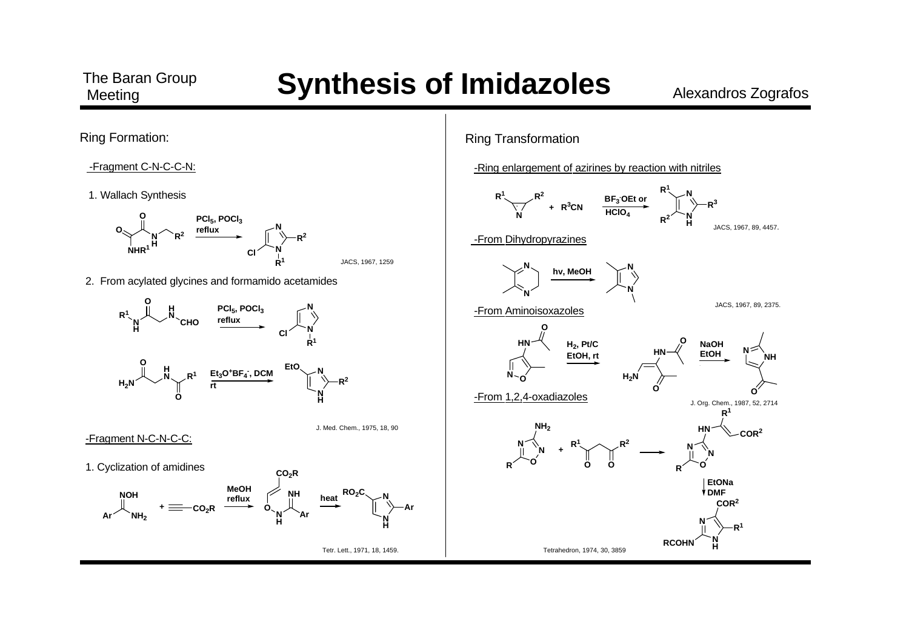